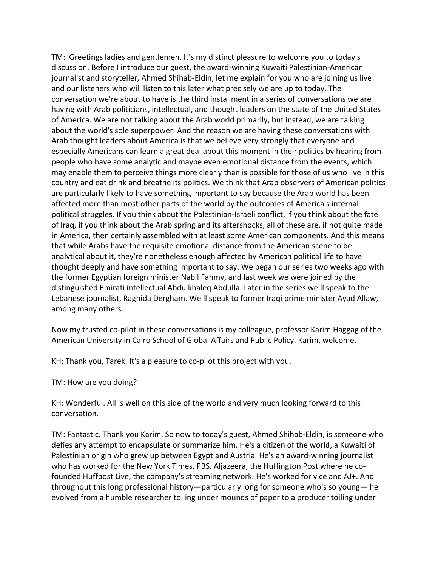TM: Greetings ladies and gentlemen. It's my distinct pleasure to welcome you to today's discussion. Before I introduce our guest, the award-winning Kuwaiti Palestinian-American journalist and storyteller, Ahmed Shihab-Eldin, let me explain for you who are joining us live and our listeners who will listen to this later what precisely we are up to today. The conversation we're about to have is the third installment in a series of conversations we are having with Arab politicians, intellectual, and thought leaders on the state of the United States of America. We are not talking about the Arab world primarily, but instead, we are talking about the world's sole superpower. And the reason we are having these conversations with Arab thought leaders about America is that we believe very strongly that everyone and especially Americans can learn a great deal about this moment in their politics by hearing from people who have some analytic and maybe even emotional distance from the events, which may enable them to perceive things more clearly than is possible for those of us who live in this country and eat drink and breathe its politics. We think that Arab observers of American politics are particularly likely to have something important to say because the Arab world has been affected more than most other parts of the world by the outcomes of America's internal political struggles. If you think about the Palestinian-Israeli conflict, if you think about the fate of Iraq, if you think about the Arab spring and its aftershocks, all of these are, if not quite made in America, then certainly assembled with at least some American components. And this means that while Arabs have the requisite emotional distance from the American scene to be analytical about it, they're nonetheless enough affected by American political life to have thought deeply and have something important to say. We began our series two weeks ago with the former Egyptian foreign minister Nabil Fahmy, and last week we were joined by the distinguished Emirati intellectual Abdulkhaleq Abdulla. Later in the series we'll speak to the Lebanese journalist, Raghida Dergham. We'll speak to former Iraqi prime minister Ayad Allaw, among many others.

Now my trusted co-pilot in these conversations is my colleague, professor Karim Haggag of the American University in Cairo School of Global Affairs and Public Policy. Karim, welcome.

KH: Thank you, Tarek. It's a pleasure to co-pilot this project with you.

TM: How are you doing?

KH: Wonderful. All is well on this side of the world and very much looking forward to this conversation.

TM: Fantastic. Thank you Karim. So now to today's guest, Ahmed Shihab-Eldin, is someone who defies any attempt to encapsulate or summarize him. He's a citizen of the world, a Kuwaiti of Palestinian origin who grew up between Egypt and Austria. He's an award-winning journalist who has worked for the New York Times, PBS, Aljazeera, the Huffington Post where he cofounded Huffpost Live, the company's streaming network. He's worked for vice and AJ+. And throughout this long professional history—particularly long for someone who's so young— he evolved from a humble researcher toiling under mounds of paper to a producer toiling under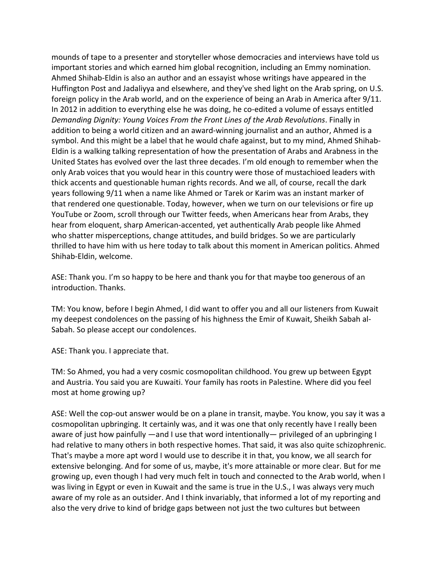mounds of tape to a presenter and storyteller whose democracies and interviews have told us important stories and which earned him global recognition, including an Emmy nomination. Ahmed Shihab-Eldin is also an author and an essayist whose writings have appeared in the Huffington Post and Jadaliyya and elsewhere, and they've shed light on the Arab spring, on U.S. foreign policy in the Arab world, and on the experience of being an Arab in America after 9/11. In 2012 in addition to everything else he was doing, he co-edited a volume of essays entitled *Demanding Dignity: Young Voices From the Front Lines of the Arab Revolutions*. Finally in addition to being a world citizen and an award-winning journalist and an author, Ahmed is a symbol. And this might be a label that he would chafe against, but to my mind, Ahmed Shihab-Eldin is a walking talking representation of how the presentation of Arabs and Arabness in the United States has evolved over the last three decades. I'm old enough to remember when the only Arab voices that you would hear in this country were those of mustachioed leaders with thick accents and questionable human rights records. And we all, of course, recall the dark years following 9/11 when a name like Ahmed or Tarek or Karim was an instant marker of that rendered one questionable. Today, however, when we turn on our televisions or fire up YouTube or Zoom, scroll through our Twitter feeds, when Americans hear from Arabs, they hear from eloquent, sharp American-accented, yet authentically Arab people like Ahmed who shatter misperceptions, change attitudes, and build bridges. So we are particularly thrilled to have him with us here today to talk about this moment in American politics. Ahmed Shihab-Eldin, welcome.

ASE: Thank you. I'm so happy to be here and thank you for that maybe too generous of an introduction. Thanks.

TM: You know, before I begin Ahmed, I did want to offer you and all our listeners from Kuwait my deepest condolences on the passing of his highness the Emir of Kuwait, Sheikh Sabah al-Sabah. So please accept our condolences.

ASE: Thank you. I appreciate that.

TM: So Ahmed, you had a very cosmic cosmopolitan childhood. You grew up between Egypt and Austria. You said you are Kuwaiti. Your family has roots in Palestine. Where did you feel most at home growing up?

ASE: Well the cop-out answer would be on a plane in transit, maybe. You know, you say it was a cosmopolitan upbringing. It certainly was, and it was one that only recently have I really been aware of just how painfully —and I use that word intentionally— privileged of an upbringing I had relative to many others in both respective homes. That said, it was also quite schizophrenic. That's maybe a more apt word I would use to describe it in that, you know, we all search for extensive belonging. And for some of us, maybe, it's more attainable or more clear. But for me growing up, even though I had very much felt in touch and connected to the Arab world, when I was living in Egypt or even in Kuwait and the same is true in the U.S., I was always very much aware of my role as an outsider. And I think invariably, that informed a lot of my reporting and also the very drive to kind of bridge gaps between not just the two cultures but between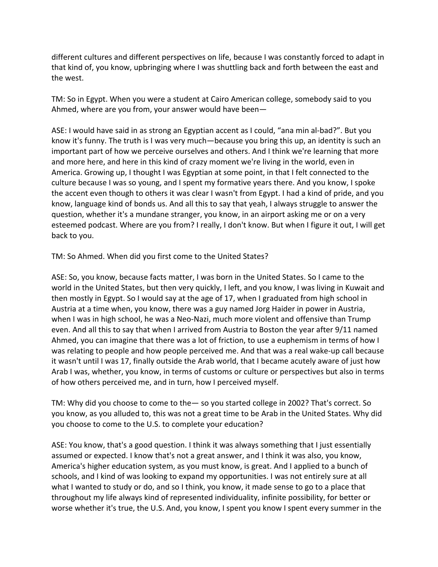different cultures and different perspectives on life, because I was constantly forced to adapt in that kind of, you know, upbringing where I was shuttling back and forth between the east and the west.

TM: So in Egypt. When you were a student at Cairo American college, somebody said to you Ahmed, where are you from, your answer would have been—

ASE: I would have said in as strong an Egyptian accent as I could, "ana min al-bad?". But you know it's funny. The truth is I was very much—because you bring this up, an identity is such an important part of how we perceive ourselves and others. And I think we're learning that more and more here, and here in this kind of crazy moment we're living in the world, even in America. Growing up, I thought I was Egyptian at some point, in that I felt connected to the culture because I was so young, and I spent my formative years there. And you know, I spoke the accent even though to others it was clear I wasn't from Egypt. I had a kind of pride, and you know, language kind of bonds us. And all this to say that yeah, I always struggle to answer the question, whether it's a mundane stranger, you know, in an airport asking me or on a very esteemed podcast. Where are you from? I really, I don't know. But when I figure it out, I will get back to you.

TM: So Ahmed. When did you first come to the United States?

ASE: So, you know, because facts matter, I was born in the United States. So I came to the world in the United States, but then very quickly, I left, and you know, I was living in Kuwait and then mostly in Egypt. So I would say at the age of 17, when I graduated from high school in Austria at a time when, you know, there was a guy named Jorg Haider in power in Austria, when I was in high school, he was a Neo-Nazi, much more violent and offensive than Trump even. And all this to say that when I arrived from Austria to Boston the year after 9/11 named Ahmed, you can imagine that there was a lot of friction, to use a euphemism in terms of how I was relating to people and how people perceived me. And that was a real wake-up call because it wasn't until I was 17, finally outside the Arab world, that I became acutely aware of just how Arab I was, whether, you know, in terms of customs or culture or perspectives but also in terms of how others perceived me, and in turn, how I perceived myself.

TM: Why did you choose to come to the— so you started college in 2002? That's correct. So you know, as you alluded to, this was not a great time to be Arab in the United States. Why did you choose to come to the U.S. to complete your education?

ASE: You know, that's a good question. I think it was always something that I just essentially assumed or expected. I know that's not a great answer, and I think it was also, you know, America's higher education system, as you must know, is great. And I applied to a bunch of schools, and I kind of was looking to expand my opportunities. I was not entirely sure at all what I wanted to study or do, and so I think, you know, it made sense to go to a place that throughout my life always kind of represented individuality, infinite possibility, for better or worse whether it's true, the U.S. And, you know, I spent you know I spent every summer in the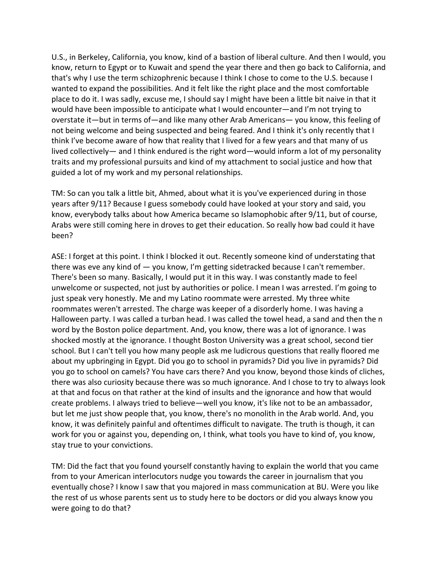U.S., in Berkeley, California, you know, kind of a bastion of liberal culture. And then I would, you know, return to Egypt or to Kuwait and spend the year there and then go back to California, and that's why I use the term schizophrenic because I think I chose to come to the U.S. because I wanted to expand the possibilities. And it felt like the right place and the most comfortable place to do it. I was sadly, excuse me, I should say I might have been a little bit naive in that it would have been impossible to anticipate what I would encounter—and I'm not trying to overstate it—but in terms of—and like many other Arab Americans— you know, this feeling of not being welcome and being suspected and being feared. And I think it's only recently that I think I've become aware of how that reality that I lived for a few years and that many of us lived collectively— and I think endured is the right word—would inform a lot of my personality traits and my professional pursuits and kind of my attachment to social justice and how that guided a lot of my work and my personal relationships.

TM: So can you talk a little bit, Ahmed, about what it is you've experienced during in those years after 9/11? Because I guess somebody could have looked at your story and said, you know, everybody talks about how America became so Islamophobic after 9/11, but of course, Arabs were still coming here in droves to get their education. So really how bad could it have been?

ASE: I forget at this point. I think I blocked it out. Recently someone kind of understating that there was eve any kind of — you know, I'm getting sidetracked because I can't remember. There's been so many. Basically, I would put it in this way. I was constantly made to feel unwelcome or suspected, not just by authorities or police. I mean I was arrested. I'm going to just speak very honestly. Me and my Latino roommate were arrested. My three white roommates weren't arrested. The charge was keeper of a disorderly home. I was having a Halloween party. I was called a turban head. I was called the towel head, a sand and then the n word by the Boston police department. And, you know, there was a lot of ignorance. I was shocked mostly at the ignorance. I thought Boston University was a great school, second tier school. But I can't tell you how many people ask me ludicrous questions that really floored me about my upbringing in Egypt. Did you go to school in pyramids? Did you live in pyramids? Did you go to school on camels? You have cars there? And you know, beyond those kinds of cliches, there was also curiosity because there was so much ignorance. And I chose to try to always look at that and focus on that rather at the kind of insults and the ignorance and how that would create problems. I always tried to believe—well you know, it's like not to be an ambassador, but let me just show people that, you know, there's no monolith in the Arab world. And, you know, it was definitely painful and oftentimes difficult to navigate. The truth is though, it can work for you or against you, depending on, I think, what tools you have to kind of, you know, stay true to your convictions.

TM: Did the fact that you found yourself constantly having to explain the world that you came from to your American interlocutors nudge you towards the career in journalism that you eventually chose? I know I saw that you majored in mass communication at BU. Were you like the rest of us whose parents sent us to study here to be doctors or did you always know you were going to do that?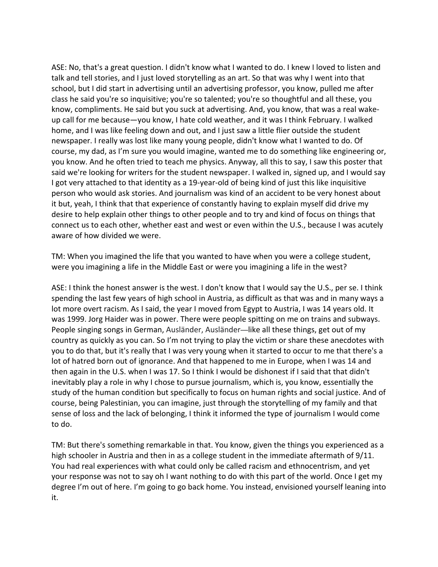ASE: No, that's a great question. I didn't know what I wanted to do. I knew I loved to listen and talk and tell stories, and I just loved storytelling as an art. So that was why I went into that school, but I did start in advertising until an advertising professor, you know, pulled me after class he said you're so inquisitive; you're so talented; you're so thoughtful and all these, you know, compliments. He said but you suck at advertising. And, you know, that was a real wakeup call for me because—you know, I hate cold weather, and it was I think February. I walked home, and I was like feeling down and out, and I just saw a little flier outside the student newspaper. I really was lost like many young people, didn't know what I wanted to do. Of course, my dad, as I'm sure you would imagine, wanted me to do something like engineering or, you know. And he often tried to teach me physics. Anyway, all this to say, I saw this poster that said we're looking for writers for the student newspaper. I walked in, signed up, and I would say I got very attached to that identity as a 19-year-old of being kind of just this like inquisitive person who would ask stories. And journalism was kind of an accident to be very honest about it but, yeah, I think that that experience of constantly having to explain myself did drive my desire to help explain other things to other people and to try and kind of focus on things that connect us to each other, whether east and west or even within the U.S., because I was acutely aware of how divided we were.

TM: When you imagined the life that you wanted to have when you were a college student, were you imagining a life in the Middle East or were you imagining a life in the west?

ASE: I think the honest answer is the west. I don't know that I would say the U.S., per se. I think spending the last few years of high school in Austria, as difficult as that was and in many ways a lot more overt racism. As I said, the year I moved from Egypt to Austria, I was 14 years old. It was 1999. Jorg Haider was in power. There were people spitting on me on trains and subways. People singing songs in German, Ausländer, Ausländer—like all these things, get out of my country as quickly as you can. So I'm not trying to play the victim or share these anecdotes with you to do that, but it's really that I was very young when it started to occur to me that there's a lot of hatred born out of ignorance. And that happened to me in Europe, when I was 14 and then again in the U.S. when I was 17. So I think I would be dishonest if I said that that didn't inevitably play a role in why I chose to pursue journalism, which is, you know, essentially the study of the human condition but specifically to focus on human rights and social justice. And of course, being Palestinian, you can imagine, just through the storytelling of my family and that sense of loss and the lack of belonging, I think it informed the type of journalism I would come to do.

TM: But there's something remarkable in that. You know, given the things you experienced as a high schooler in Austria and then in as a college student in the immediate aftermath of 9/11. You had real experiences with what could only be called racism and ethnocentrism, and yet your response was not to say oh I want nothing to do with this part of the world. Once I get my degree I'm out of here. I'm going to go back home. You instead, envisioned yourself leaning into it.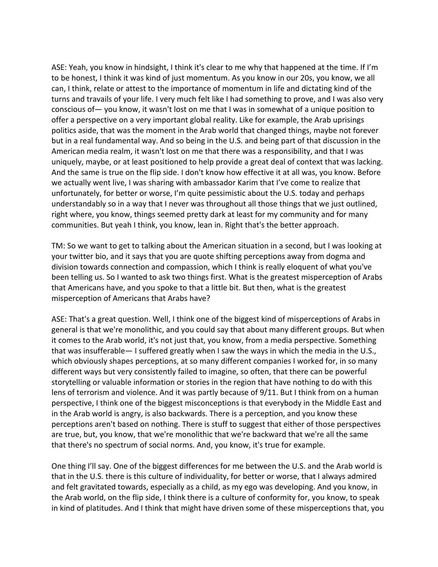ASE: Yeah, you know in hindsight, I think it's clear to me why that happened at the time. If I'm to be honest, I think it was kind of just momentum. As you know in our 20s, you know, we all can, I think, relate or attest to the importance of momentum in life and dictating kind of the turns and travails of your life. I very much felt like I had something to prove, and I was also very conscious of— you know, it wasn't lost on me that I was in somewhat of a unique position to offer a perspective on a very important global reality. Like for example, the Arab uprisings politics aside, that was the moment in the Arab world that changed things, maybe not forever but in a real fundamental way. And so being in the U.S. and being part of that discussion in the American media realm, it wasn't lost on me that there was a responsibility, and that I was uniquely, maybe, or at least positioned to help provide a great deal of context that was lacking. And the same is true on the flip side. I don't know how effective it at all was, you know. Before we actually went live, I was sharing with ambassador Karim that I've come to realize that unfortunately, for better or worse, I'm quite pessimistic about the U.S. today and perhaps understandably so in a way that I never was throughout all those things that we just outlined, right where, you know, things seemed pretty dark at least for my community and for many communities. But yeah I think, you know, lean in. Right that's the better approach.

TM: So we want to get to talking about the American situation in a second, but I was looking at your twitter bio, and it says that you are quote shifting perceptions away from dogma and division towards connection and compassion, which I think is really eloquent of what you've been telling us. So I wanted to ask two things first. What is the greatest misperception of Arabs that Americans have, and you spoke to that a little bit. But then, what is the greatest misperception of Americans that Arabs have?

ASE: That's a great question. Well, I think one of the biggest kind of misperceptions of Arabs in general is that we're monolithic, and you could say that about many different groups. But when it comes to the Arab world, it's not just that, you know, from a media perspective. Something that was insufferable— I suffered greatly when I saw the ways in which the media in the U.S., which obviously shapes perceptions, at so many different companies I worked for, in so many different ways but very consistently failed to imagine, so often, that there can be powerful storytelling or valuable information or stories in the region that have nothing to do with this lens of terrorism and violence. And it was partly because of 9/11. But I think from on a human perspective, I think one of the biggest misconceptions is that everybody in the Middle East and in the Arab world is angry, is also backwards. There is a perception, and you know these perceptions aren't based on nothing. There is stuff to suggest that either of those perspectives are true, but, you know, that we're monolithic that we're backward that we're all the same that there's no spectrum of social norms. And, you know, it's true for example.

One thing I'll say. One of the biggest differences for me between the U.S. and the Arab world is that in the U.S. there is this culture of individuality, for better or worse, that I always admired and felt gravitated towards, especially as a child, as my ego was developing. And you know, in the Arab world, on the flip side, I think there is a culture of conformity for, you know, to speak in kind of platitudes. And I think that might have driven some of these misperceptions that, you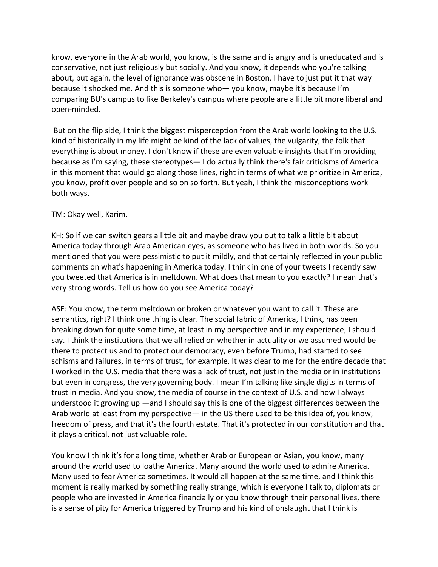know, everyone in the Arab world, you know, is the same and is angry and is uneducated and is conservative, not just religiously but socially. And you know, it depends who you're talking about, but again, the level of ignorance was obscene in Boston. I have to just put it that way because it shocked me. And this is someone who— you know, maybe it's because I'm comparing BU's campus to like Berkeley's campus where people are a little bit more liberal and open-minded.

But on the flip side, I think the biggest misperception from the Arab world looking to the U.S. kind of historically in my life might be kind of the lack of values, the vulgarity, the folk that everything is about money. I don't know if these are even valuable insights that I'm providing because as I'm saying, these stereotypes— I do actually think there's fair criticisms of America in this moment that would go along those lines, right in terms of what we prioritize in America, you know, profit over people and so on so forth. But yeah, I think the misconceptions work both ways.

## TM: Okay well, Karim.

KH: So if we can switch gears a little bit and maybe draw you out to talk a little bit about America today through Arab American eyes, as someone who has lived in both worlds. So you mentioned that you were pessimistic to put it mildly, and that certainly reflected in your public comments on what's happening in America today. I think in one of your tweets I recently saw you tweeted that America is in meltdown. What does that mean to you exactly? I mean that's very strong words. Tell us how do you see America today?

ASE: You know, the term meltdown or broken or whatever you want to call it. These are semantics, right? I think one thing is clear. The social fabric of America, I think, has been breaking down for quite some time, at least in my perspective and in my experience, I should say. I think the institutions that we all relied on whether in actuality or we assumed would be there to protect us and to protect our democracy, even before Trump, had started to see schisms and failures, in terms of trust, for example. It was clear to me for the entire decade that I worked in the U.S. media that there was a lack of trust, not just in the media or in institutions but even in congress, the very governing body. I mean I'm talking like single digits in terms of trust in media. And you know, the media of course in the context of U.S. and how I always understood it growing up —and I should say this is one of the biggest differences between the Arab world at least from my perspective— in the US there used to be this idea of, you know, freedom of press, and that it's the fourth estate. That it's protected in our constitution and that it plays a critical, not just valuable role.

You know I think it's for a long time, whether Arab or European or Asian, you know, many around the world used to loathe America. Many around the world used to admire America. Many used to fear America sometimes. It would all happen at the same time, and I think this moment is really marked by something really strange, which is everyone I talk to, diplomats or people who are invested in America financially or you know through their personal lives, there is a sense of pity for America triggered by Trump and his kind of onslaught that I think is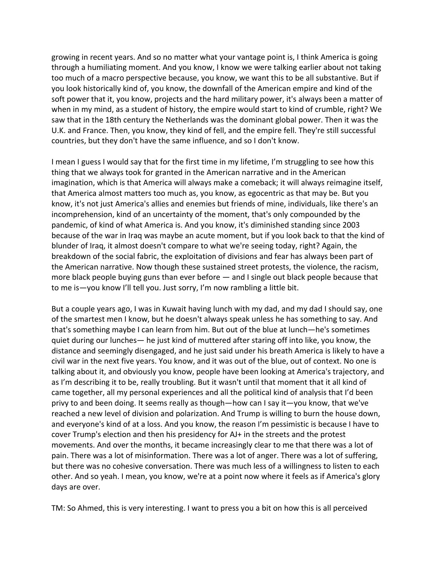growing in recent years. And so no matter what your vantage point is, I think America is going through a humiliating moment. And you know, I know we were talking earlier about not taking too much of a macro perspective because, you know, we want this to be all substantive. But if you look historically kind of, you know, the downfall of the American empire and kind of the soft power that it, you know, projects and the hard military power, it's always been a matter of when in my mind, as a student of history, the empire would start to kind of crumble, right? We saw that in the 18th century the Netherlands was the dominant global power. Then it was the U.K. and France. Then, you know, they kind of fell, and the empire fell. They're still successful countries, but they don't have the same influence, and so I don't know.

I mean I guess I would say that for the first time in my lifetime, I'm struggling to see how this thing that we always took for granted in the American narrative and in the American imagination, which is that America will always make a comeback; it will always reimagine itself, that America almost matters too much as, you know, as egocentric as that may be. But you know, it's not just America's allies and enemies but friends of mine, individuals, like there's an incomprehension, kind of an uncertainty of the moment, that's only compounded by the pandemic, of kind of what America is. And you know, it's diminished standing since 2003 because of the war in Iraq was maybe an acute moment, but if you look back to that the kind of blunder of Iraq, it almost doesn't compare to what we're seeing today, right? Again, the breakdown of the social fabric, the exploitation of divisions and fear has always been part of the American narrative. Now though these sustained street protests, the violence, the racism, more black people buying guns than ever before — and I single out black people because that to me is—you know I'll tell you. Just sorry, I'm now rambling a little bit.

But a couple years ago, I was in Kuwait having lunch with my dad, and my dad I should say, one of the smartest men I know, but he doesn't always speak unless he has something to say. And that's something maybe I can learn from him. But out of the blue at lunch—he's sometimes quiet during our lunches— he just kind of muttered after staring off into like, you know, the distance and seemingly disengaged, and he just said under his breath America is likely to have a civil war in the next five years. You know, and it was out of the blue, out of context. No one is talking about it, and obviously you know, people have been looking at America's trajectory, and as I'm describing it to be, really troubling. But it wasn't until that moment that it all kind of came together, all my personal experiences and all the political kind of analysis that I'd been privy to and been doing. It seems really as though—how can I say it—you know, that we've reached a new level of division and polarization. And Trump is willing to burn the house down, and everyone's kind of at a loss. And you know, the reason I'm pessimistic is because I have to cover Trump's election and then his presidency for AJ+ in the streets and the protest movements. And over the months, it became increasingly clear to me that there was a lot of pain. There was a lot of misinformation. There was a lot of anger. There was a lot of suffering, but there was no cohesive conversation. There was much less of a willingness to listen to each other. And so yeah. I mean, you know, we're at a point now where it feels as if America's glory days are over.

TM: So Ahmed, this is very interesting. I want to press you a bit on how this is all perceived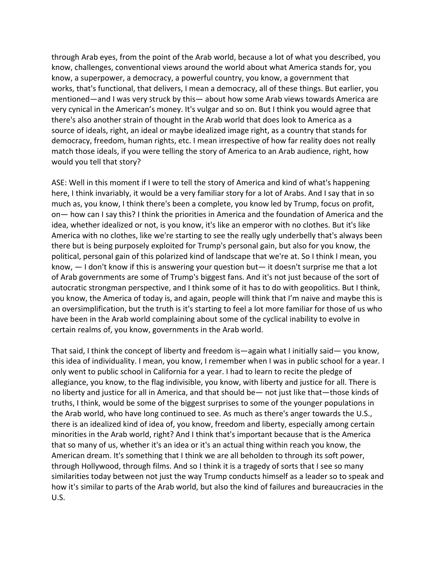through Arab eyes, from the point of the Arab world, because a lot of what you described, you know, challenges, conventional views around the world about what America stands for, you know, a superpower, a democracy, a powerful country, you know, a government that works, that's functional, that delivers, I mean a democracy, all of these things. But earlier, you mentioned—and I was very struck by this— about how some Arab views towards America are very cynical in the American's money. It's vulgar and so on. But I think you would agree that there's also another strain of thought in the Arab world that does look to America as a source of ideals, right, an ideal or maybe idealized image right, as a country that stands for democracy, freedom, human rights, etc. I mean irrespective of how far reality does not really match those ideals, if you were telling the story of America to an Arab audience, right, how would you tell that story?

ASE: Well in this moment if I were to tell the story of America and kind of what's happening here, I think invariably, it would be a very familiar story for a lot of Arabs. And I say that in so much as, you know, I think there's been a complete, you know led by Trump, focus on profit, on— how can I say this? I think the priorities in America and the foundation of America and the idea, whether idealized or not, is you know, it's like an emperor with no clothes. But it's like America with no clothes, like we're starting to see the really ugly underbelly that's always been there but is being purposely exploited for Trump's personal gain, but also for you know, the political, personal gain of this polarized kind of landscape that we're at. So I think I mean, you know, — I don't know if this is answering your question but— it doesn't surprise me that a lot of Arab governments are some of Trump's biggest fans. And it's not just because of the sort of autocratic strongman perspective, and I think some of it has to do with geopolitics. But I think, you know, the America of today is, and again, people will think that I'm naive and maybe this is an oversimplification, but the truth is it's starting to feel a lot more familiar for those of us who have been in the Arab world complaining about some of the cyclical inability to evolve in certain realms of, you know, governments in the Arab world.

That said, I think the concept of liberty and freedom is—again what I initially said— you know, this idea of individuality. I mean, you know, I remember when I was in public school for a year. I only went to public school in California for a year. I had to learn to recite the pledge of allegiance, you know, to the flag indivisible, you know, with liberty and justice for all. There is no liberty and justice for all in America, and that should be— not just like that—those kinds of truths, I think, would be some of the biggest surprises to some of the younger populations in the Arab world, who have long continued to see. As much as there's anger towards the U.S., there is an idealized kind of idea of, you know, freedom and liberty, especially among certain minorities in the Arab world, right? And I think that's important because that is the America that so many of us, whether it's an idea or it's an actual thing within reach you know, the American dream. It's something that I think we are all beholden to through its soft power, through Hollywood, through films. And so I think it is a tragedy of sorts that I see so many similarities today between not just the way Trump conducts himself as a leader so to speak and how it's similar to parts of the Arab world, but also the kind of failures and bureaucracies in the U.S.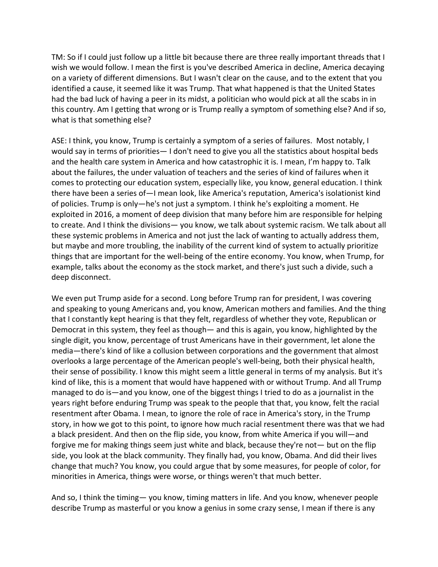TM: So if I could just follow up a little bit because there are three really important threads that I wish we would follow. I mean the first is you've described America in decline, America decaying on a variety of different dimensions. But I wasn't clear on the cause, and to the extent that you identified a cause, it seemed like it was Trump. That what happened is that the United States had the bad luck of having a peer in its midst, a politician who would pick at all the scabs in in this country. Am I getting that wrong or is Trump really a symptom of something else? And if so, what is that something else?

ASE: I think, you know, Trump is certainly a symptom of a series of failures. Most notably, I would say in terms of priorities— I don't need to give you all the statistics about hospital beds and the health care system in America and how catastrophic it is. I mean, I'm happy to. Talk about the failures, the under valuation of teachers and the series of kind of failures when it comes to protecting our education system, especially like, you know, general education. I think there have been a series of—I mean look, like America's reputation, America's isolationist kind of policies. Trump is only—he's not just a symptom. I think he's exploiting a moment. He exploited in 2016, a moment of deep division that many before him are responsible for helping to create. And I think the divisions— you know, we talk about systemic racism. We talk about all these systemic problems in America and not just the lack of wanting to actually address them, but maybe and more troubling, the inability of the current kind of system to actually prioritize things that are important for the well-being of the entire economy. You know, when Trump, for example, talks about the economy as the stock market, and there's just such a divide, such a deep disconnect.

We even put Trump aside for a second. Long before Trump ran for president, I was covering and speaking to young Americans and, you know, American mothers and families. And the thing that I constantly kept hearing is that they felt, regardless of whether they vote, Republican or Democrat in this system, they feel as though— and this is again, you know, highlighted by the single digit, you know, percentage of trust Americans have in their government, let alone the media—there's kind of like a collusion between corporations and the government that almost overlooks a large percentage of the American people's well-being, both their physical health, their sense of possibility. I know this might seem a little general in terms of my analysis. But it's kind of like, this is a moment that would have happened with or without Trump. And all Trump managed to do is—and you know, one of the biggest things I tried to do as a journalist in the years right before enduring Trump was speak to the people that that, you know, felt the racial resentment after Obama. I mean, to ignore the role of race in America's story, in the Trump story, in how we got to this point, to ignore how much racial resentment there was that we had a black president. And then on the flip side, you know, from white America if you will—and forgive me for making things seem just white and black, because they're not— but on the flip side, you look at the black community. They finally had, you know, Obama. And did their lives change that much? You know, you could argue that by some measures, for people of color, for minorities in America, things were worse, or things weren't that much better.

And so, I think the timing— you know, timing matters in life. And you know, whenever people describe Trump as masterful or you know a genius in some crazy sense, I mean if there is any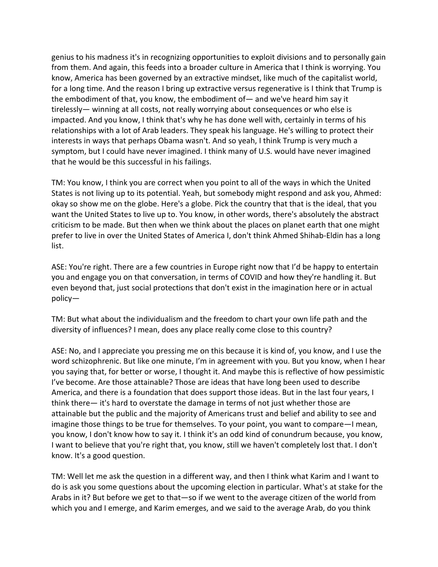genius to his madness it's in recognizing opportunities to exploit divisions and to personally gain from them. And again, this feeds into a broader culture in America that I think is worrying. You know, America has been governed by an extractive mindset, like much of the capitalist world, for a long time. And the reason I bring up extractive versus regenerative is I think that Trump is the embodiment of that, you know, the embodiment of— and we've heard him say it tirelessly— winning at all costs, not really worrying about consequences or who else is impacted. And you know, I think that's why he has done well with, certainly in terms of his relationships with a lot of Arab leaders. They speak his language. He's willing to protect their interests in ways that perhaps Obama wasn't. And so yeah, I think Trump is very much a symptom, but I could have never imagined. I think many of U.S. would have never imagined that he would be this successful in his failings.

TM: You know, I think you are correct when you point to all of the ways in which the United States is not living up to its potential. Yeah, but somebody might respond and ask you, Ahmed: okay so show me on the globe. Here's a globe. Pick the country that that is the ideal, that you want the United States to live up to. You know, in other words, there's absolutely the abstract criticism to be made. But then when we think about the places on planet earth that one might prefer to live in over the United States of America I, don't think Ahmed Shihab-Eldin has a long list.

ASE: You're right. There are a few countries in Europe right now that I'd be happy to entertain you and engage you on that conversation, in terms of COVID and how they're handling it. But even beyond that, just social protections that don't exist in the imagination here or in actual policy—

TM: But what about the individualism and the freedom to chart your own life path and the diversity of influences? I mean, does any place really come close to this country?

ASE: No, and I appreciate you pressing me on this because it is kind of, you know, and I use the word schizophrenic. But like one minute, I'm in agreement with you. But you know, when I hear you saying that, for better or worse, I thought it. And maybe this is reflective of how pessimistic I've become. Are those attainable? Those are ideas that have long been used to describe America, and there is a foundation that does support those ideas. But in the last four years, I think there— it's hard to overstate the damage in terms of not just whether those are attainable but the public and the majority of Americans trust and belief and ability to see and imagine those things to be true for themselves. To your point, you want to compare—I mean, you know, I don't know how to say it. I think it's an odd kind of conundrum because, you know, I want to believe that you're right that, you know, still we haven't completely lost that. I don't know. It's a good question.

TM: Well let me ask the question in a different way, and then I think what Karim and I want to do is ask you some questions about the upcoming election in particular. What's at stake for the Arabs in it? But before we get to that—so if we went to the average citizen of the world from which you and I emerge, and Karim emerges, and we said to the average Arab, do you think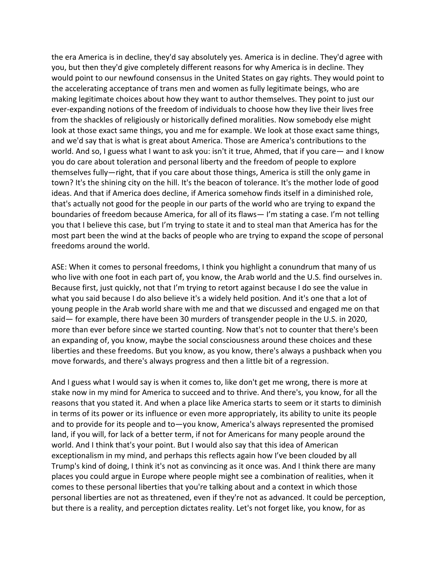the era America is in decline, they'd say absolutely yes. America is in decline. They'd agree with you, but then they'd give completely different reasons for why America is in decline. They would point to our newfound consensus in the United States on gay rights. They would point to the accelerating acceptance of trans men and women as fully legitimate beings, who are making legitimate choices about how they want to author themselves. They point to just our ever-expanding notions of the freedom of individuals to choose how they live their lives free from the shackles of religiously or historically defined moralities. Now somebody else might look at those exact same things, you and me for example. We look at those exact same things, and we'd say that is what is great about America. Those are America's contributions to the world. And so, I guess what I want to ask you: isn't it true, Ahmed, that if you care— and I know you do care about toleration and personal liberty and the freedom of people to explore themselves fully—right, that if you care about those things, America is still the only game in town? It's the shining city on the hill. It's the beacon of tolerance. It's the mother lode of good ideas. And that if America does decline, if America somehow finds itself in a diminished role, that's actually not good for the people in our parts of the world who are trying to expand the boundaries of freedom because America, for all of its flaws— I'm stating a case. I'm not telling you that I believe this case, but I'm trying to state it and to steal man that America has for the most part been the wind at the backs of people who are trying to expand the scope of personal freedoms around the world.

ASE: When it comes to personal freedoms, I think you highlight a conundrum that many of us who live with one foot in each part of, you know, the Arab world and the U.S. find ourselves in. Because first, just quickly, not that I'm trying to retort against because I do see the value in what you said because I do also believe it's a widely held position. And it's one that a lot of young people in the Arab world share with me and that we discussed and engaged me on that said— for example, there have been 30 murders of transgender people in the U.S. in 2020, more than ever before since we started counting. Now that's not to counter that there's been an expanding of, you know, maybe the social consciousness around these choices and these liberties and these freedoms. But you know, as you know, there's always a pushback when you move forwards, and there's always progress and then a little bit of a regression.

And I guess what I would say is when it comes to, like don't get me wrong, there is more at stake now in my mind for America to succeed and to thrive. And there's, you know, for all the reasons that you stated it. And when a place like America starts to seem or it starts to diminish in terms of its power or its influence or even more appropriately, its ability to unite its people and to provide for its people and to—you know, America's always represented the promised land, if you will, for lack of a better term, if not for Americans for many people around the world. And I think that's your point. But I would also say that this idea of American exceptionalism in my mind, and perhaps this reflects again how I've been clouded by all Trump's kind of doing, I think it's not as convincing as it once was. And I think there are many places you could argue in Europe where people might see a combination of realities, when it comes to these personal liberties that you're talking about and a context in which those personal liberties are not as threatened, even if they're not as advanced. It could be perception, but there is a reality, and perception dictates reality. Let's not forget like, you know, for as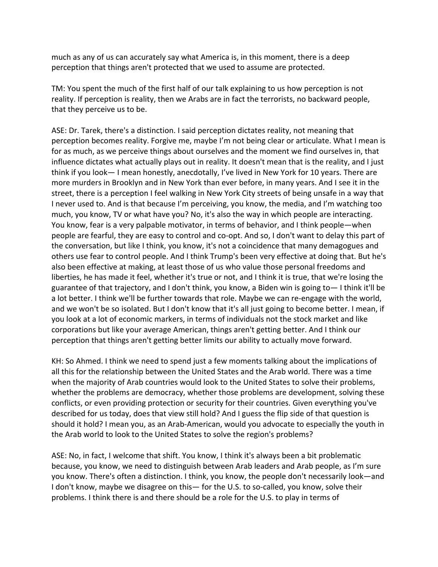much as any of us can accurately say what America is, in this moment, there is a deep perception that things aren't protected that we used to assume are protected.

TM: You spent the much of the first half of our talk explaining to us how perception is not reality. If perception is reality, then we Arabs are in fact the terrorists, no backward people, that they perceive us to be.

ASE: Dr. Tarek, there's a distinction. I said perception dictates reality, not meaning that perception becomes reality. Forgive me, maybe I'm not being clear or articulate. What I mean is for as much, as we perceive things about ourselves and the moment we find ourselves in, that influence dictates what actually plays out in reality. It doesn't mean that is the reality, and I just think if you look— I mean honestly, anecdotally, I've lived in New York for 10 years. There are more murders in Brooklyn and in New York than ever before, in many years. And I see it in the street, there is a perception I feel walking in New York City streets of being unsafe in a way that I never used to. And is that because I'm perceiving, you know, the media, and I'm watching too much, you know, TV or what have you? No, it's also the way in which people are interacting. You know, fear is a very palpable motivator, in terms of behavior, and I think people—when people are fearful, they are easy to control and co-opt. And so, I don't want to delay this part of the conversation, but like I think, you know, it's not a coincidence that many demagogues and others use fear to control people. And I think Trump's been very effective at doing that. But he's also been effective at making, at least those of us who value those personal freedoms and liberties, he has made it feel, whether it's true or not, and I think it is true, that we're losing the guarantee of that trajectory, and I don't think, you know, a Biden win is going to— I think it'll be a lot better. I think we'll be further towards that role. Maybe we can re-engage with the world, and we won't be so isolated. But I don't know that it's all just going to become better. I mean, if you look at a lot of economic markers, in terms of individuals not the stock market and like corporations but like your average American, things aren't getting better. And I think our perception that things aren't getting better limits our ability to actually move forward.

KH: So Ahmed. I think we need to spend just a few moments talking about the implications of all this for the relationship between the United States and the Arab world. There was a time when the majority of Arab countries would look to the United States to solve their problems, whether the problems are democracy, whether those problems are development, solving these conflicts, or even providing protection or security for their countries. Given everything you've described for us today, does that view still hold? And I guess the flip side of that question is should it hold? I mean you, as an Arab-American, would you advocate to especially the youth in the Arab world to look to the United States to solve the region's problems?

ASE: No, in fact, I welcome that shift. You know, I think it's always been a bit problematic because, you know, we need to distinguish between Arab leaders and Arab people, as I'm sure you know. There's often a distinction. I think, you know, the people don't necessarily look—and I don't know, maybe we disagree on this— for the U.S. to so-called, you know, solve their problems. I think there is and there should be a role for the U.S. to play in terms of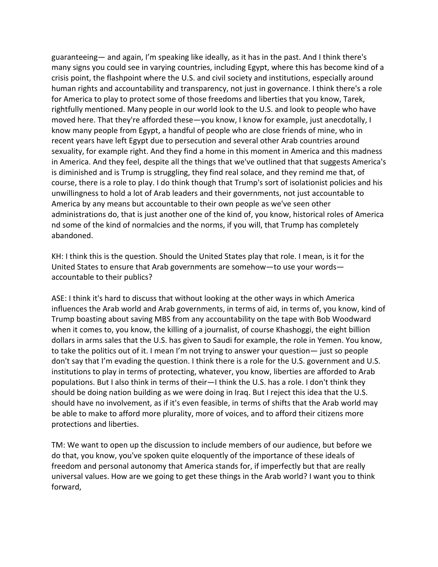guaranteeing— and again, I'm speaking like ideally, as it has in the past. And I think there's many signs you could see in varying countries, including Egypt, where this has become kind of a crisis point, the flashpoint where the U.S. and civil society and institutions, especially around human rights and accountability and transparency, not just in governance. I think there's a role for America to play to protect some of those freedoms and liberties that you know, Tarek, rightfully mentioned. Many people in our world look to the U.S. and look to people who have moved here. That they're afforded these—you know, I know for example, just anecdotally, I know many people from Egypt, a handful of people who are close friends of mine, who in recent years have left Egypt due to persecution and several other Arab countries around sexuality, for example right. And they find a home in this moment in America and this madness in America. And they feel, despite all the things that we've outlined that that suggests America's is diminished and is Trump is struggling, they find real solace, and they remind me that, of course, there is a role to play. I do think though that Trump's sort of isolationist policies and his unwillingness to hold a lot of Arab leaders and their governments, not just accountable to America by any means but accountable to their own people as we've seen other administrations do, that is just another one of the kind of, you know, historical roles of America nd some of the kind of normalcies and the norms, if you will, that Trump has completely abandoned.

KH: I think this is the question. Should the United States play that role. I mean, is it for the United States to ensure that Arab governments are somehow—to use your words accountable to their publics?

ASE: I think it's hard to discuss that without looking at the other ways in which America influences the Arab world and Arab governments, in terms of aid, in terms of, you know, kind of Trump boasting about saving MBS from any accountability on the tape with Bob Woodward when it comes to, you know, the killing of a journalist, of course Khashoggi, the eight billion dollars in arms sales that the U.S. has given to Saudi for example, the role in Yemen. You know, to take the politics out of it. I mean I'm not trying to answer your question— just so people don't say that I'm evading the question. I think there is a role for the U.S. government and U.S. institutions to play in terms of protecting, whatever, you know, liberties are afforded to Arab populations. But I also think in terms of their—I think the U.S. has a role. I don't think they should be doing nation building as we were doing in Iraq. But I reject this idea that the U.S. should have no involvement, as if it's even feasible, in terms of shifts that the Arab world may be able to make to afford more plurality, more of voices, and to afford their citizens more protections and liberties.

TM: We want to open up the discussion to include members of our audience, but before we do that, you know, you've spoken quite eloquently of the importance of these ideals of freedom and personal autonomy that America stands for, if imperfectly but that are really universal values. How are we going to get these things in the Arab world? I want you to think forward,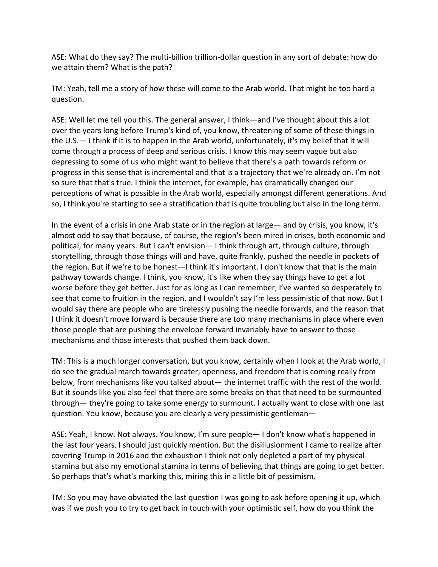ASE: What do they say? The multi-billion trillion-dollar question in any sort of debate: how do we attain them? What is the path?

TM: Yeah, tell me a story of how these will come to the Arab world. That might be too hard a question.

ASE: Well let me tell you this. The general answer, I think—and I've thought about this a lot over the years long before Trump's kind of, you know, threatening of some of these things in the U.S.— I think if it is to happen in the Arab world, unfortunately, it's my belief that it will come through a process of deep and serious crisis. I know this may seem vague but also depressing to some of us who might want to believe that there's a path towards reform or progress in this sense that is incremental and that is a trajectory that we're already on. I'm not so sure that that's true. I think the internet, for example, has dramatically changed our perceptions of what is possible in the Arab world, especially amongst different generations. And so, I think you're starting to see a stratification that is quite troubling but also in the long term.

In the event of a crisis in one Arab state or in the region at large— and by crisis, you know, it's almost odd to say that because, of course, the region's been mired in crises, both economic and political, for many years. But I can't envision— I think through art, through culture, through storytelling, through those things will and have, quite frankly, pushed the needle in pockets of the region. But if we're to be honest—I think it's important. I don't know that that is the main pathway towards change. I think, you know, it's like when they say things have to get a lot worse before they get better. Just for as long as I can remember, I've wanted so desperately to see that come to fruition in the region, and I wouldn't say I'm less pessimistic of that now. But I would say there are people who are tirelessly pushing the needle forwards, and the reason that I think it doesn't move forward is because there are too many mechanisms in place where even those people that are pushing the envelope forward invariably have to answer to those mechanisms and those interests that pushed them back down.

TM: This is a much longer conversation, but you know, certainly when I look at the Arab world, I do see the gradual march towards greater, openness, and freedom that is coming really from below, from mechanisms like you talked about— the internet traffic with the rest of the world. But it sounds like you also feel that there are some breaks on that that need to be surmounted through— they're going to take some energy to surmount. I actually want to close with one last question. You know, because you are clearly a very pessimistic gentleman—

ASE: Yeah, I know. Not always. You know, I'm sure people— I don't know what's happened in the last four years. I should just quickly mention. But the disillusionment I came to realize after covering Trump in 2016 and the exhaustion I think not only depleted a part of my physical stamina but also my emotional stamina in terms of believing that things are going to get better. So perhaps that's what's marking this, miring this in a little bit of pessimism.

TM: So you may have obviated the last question I was going to ask before opening it up, which was if we push you to try to get back in touch with your optimistic self, how do you think the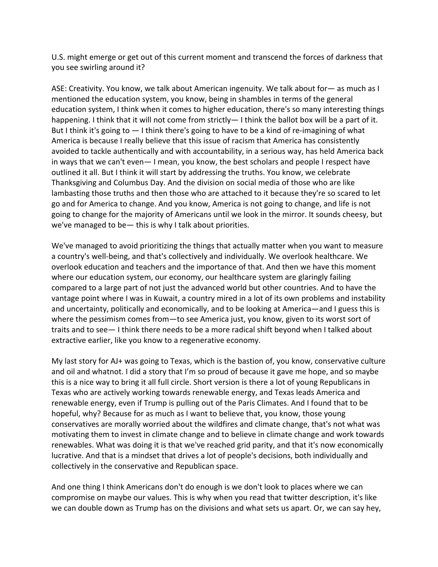U.S. might emerge or get out of this current moment and transcend the forces of darkness that you see swirling around it?

ASE: Creativity. You know, we talk about American ingenuity. We talk about for— as much as I mentioned the education system, you know, being in shambles in terms of the general education system, I think when it comes to higher education, there's so many interesting things happening. I think that it will not come from strictly— I think the ballot box will be a part of it. But I think it's going to — I think there's going to have to be a kind of re-imagining of what America is because I really believe that this issue of racism that America has consistently avoided to tackle authentically and with accountability, in a serious way, has held America back in ways that we can't even— I mean, you know, the best scholars and people I respect have outlined it all. But I think it will start by addressing the truths. You know, we celebrate Thanksgiving and Columbus Day. And the division on social media of those who are like lambasting those truths and then those who are attached to it because they're so scared to let go and for America to change. And you know, America is not going to change, and life is not going to change for the majority of Americans until we look in the mirror. It sounds cheesy, but we've managed to be— this is why I talk about priorities.

We've managed to avoid prioritizing the things that actually matter when you want to measure a country's well-being, and that's collectively and individually. We overlook healthcare. We overlook education and teachers and the importance of that. And then we have this moment where our education system, our economy, our healthcare system are glaringly failing compared to a large part of not just the advanced world but other countries. And to have the vantage point where I was in Kuwait, a country mired in a lot of its own problems and instability and uncertainty, politically and economically, and to be looking at America—and I guess this is where the pessimism comes from—to see America just, you know, given to its worst sort of traits and to see— I think there needs to be a more radical shift beyond when I talked about extractive earlier, like you know to a regenerative economy.

My last story for AJ+ was going to Texas, which is the bastion of, you know, conservative culture and oil and whatnot. I did a story that I'm so proud of because it gave me hope, and so maybe this is a nice way to bring it all full circle. Short version is there a lot of young Republicans in Texas who are actively working towards renewable energy, and Texas leads America and renewable energy, even if Trump is pulling out of the Paris Climates. And I found that to be hopeful, why? Because for as much as I want to believe that, you know, those young conservatives are morally worried about the wildfires and climate change, that's not what was motivating them to invest in climate change and to believe in climate change and work towards renewables. What was doing it is that we've reached grid parity, and that it's now economically lucrative. And that is a mindset that drives a lot of people's decisions, both individually and collectively in the conservative and Republican space.

And one thing I think Americans don't do enough is we don't look to places where we can compromise on maybe our values. This is why when you read that twitter description, it's like we can double down as Trump has on the divisions and what sets us apart. Or, we can say hey,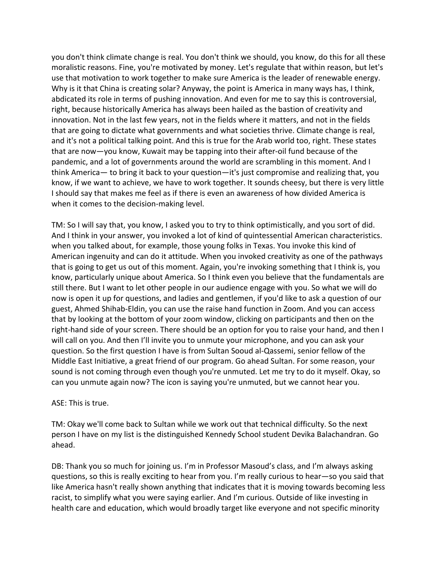you don't think climate change is real. You don't think we should, you know, do this for all these moralistic reasons. Fine, you're motivated by money. Let's regulate that within reason, but let's use that motivation to work together to make sure America is the leader of renewable energy. Why is it that China is creating solar? Anyway, the point is America in many ways has, I think, abdicated its role in terms of pushing innovation. And even for me to say this is controversial, right, because historically America has always been hailed as the bastion of creativity and innovation. Not in the last few years, not in the fields where it matters, and not in the fields that are going to dictate what governments and what societies thrive. Climate change is real, and it's not a political talking point. And this is true for the Arab world too, right. These states that are now—you know, Kuwait may be tapping into their after-oil fund because of the pandemic, and a lot of governments around the world are scrambling in this moment. And I think America— to bring it back to your question—it's just compromise and realizing that, you know, if we want to achieve, we have to work together. It sounds cheesy, but there is very little I should say that makes me feel as if there is even an awareness of how divided America is when it comes to the decision-making level.

TM: So I will say that, you know, I asked you to try to think optimistically, and you sort of did. And I think in your answer, you invoked a lot of kind of quintessential American characteristics. when you talked about, for example, those young folks in Texas. You invoke this kind of American ingenuity and can do it attitude. When you invoked creativity as one of the pathways that is going to get us out of this moment. Again, you're invoking something that I think is, you know, particularly unique about America. So I think even you believe that the fundamentals are still there. But I want to let other people in our audience engage with you. So what we will do now is open it up for questions, and ladies and gentlemen, if you'd like to ask a question of our guest, Ahmed Shihab-Eldin, you can use the raise hand function in Zoom. And you can access that by looking at the bottom of your zoom window, clicking on participants and then on the right-hand side of your screen. There should be an option for you to raise your hand, and then I will call on you. And then I'll invite you to unmute your microphone, and you can ask your question. So the first question I have is from Sultan Sooud al-Qassemi, senior fellow of the Middle East Initiative, a great friend of our program. Go ahead Sultan. For some reason, your sound is not coming through even though you're unmuted. Let me try to do it myself. Okay, so can you unmute again now? The icon is saying you're unmuted, but we cannot hear you.

## ASE: This is true.

TM: Okay we'll come back to Sultan while we work out that technical difficulty. So the next person I have on my list is the distinguished Kennedy School student Devika Balachandran. Go ahead.

DB: Thank you so much for joining us. I'm in Professor Masoud's class, and I'm always asking questions, so this is really exciting to hear from you. I'm really curious to hear—so you said that like America hasn't really shown anything that indicates that it is moving towards becoming less racist, to simplify what you were saying earlier. And I'm curious. Outside of like investing in health care and education, which would broadly target like everyone and not specific minority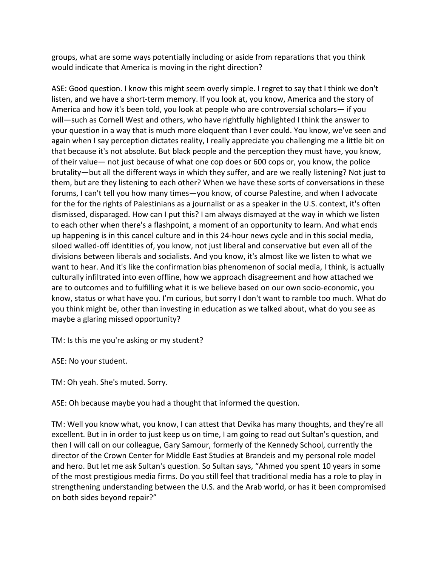groups, what are some ways potentially including or aside from reparations that you think would indicate that America is moving in the right direction?

ASE: Good question. I know this might seem overly simple. I regret to say that I think we don't listen, and we have a short-term memory. If you look at, you know, America and the story of America and how it's been told, you look at people who are controversial scholars— if you will—such as Cornell West and others, who have rightfully highlighted I think the answer to your question in a way that is much more eloquent than I ever could. You know, we've seen and again when I say perception dictates reality, I really appreciate you challenging me a little bit on that because it's not absolute. But black people and the perception they must have, you know, of their value— not just because of what one cop does or 600 cops or, you know, the police brutality—but all the different ways in which they suffer, and are we really listening? Not just to them, but are they listening to each other? When we have these sorts of conversations in these forums, I can't tell you how many times—you know, of course Palestine, and when I advocate for the for the rights of Palestinians as a journalist or as a speaker in the U.S. context, it's often dismissed, disparaged. How can I put this? I am always dismayed at the way in which we listen to each other when there's a flashpoint, a moment of an opportunity to learn. And what ends up happening is in this cancel culture and in this 24-hour news cycle and in this social media, siloed walled-off identities of, you know, not just liberal and conservative but even all of the divisions between liberals and socialists. And you know, it's almost like we listen to what we want to hear. And it's like the confirmation bias phenomenon of social media, I think, is actually culturally infiltrated into even offline, how we approach disagreement and how attached we are to outcomes and to fulfilling what it is we believe based on our own socio-economic, you know, status or what have you. I'm curious, but sorry I don't want to ramble too much. What do you think might be, other than investing in education as we talked about, what do you see as maybe a glaring missed opportunity?

TM: Is this me you're asking or my student?

ASE: No your student.

TM: Oh yeah. She's muted. Sorry.

ASE: Oh because maybe you had a thought that informed the question.

TM: Well you know what, you know, I can attest that Devika has many thoughts, and they're all excellent. But in in order to just keep us on time, I am going to read out Sultan's question, and then I will call on our colleague, Gary Samour, formerly of the Kennedy School, currently the director of the Crown Center for Middle East Studies at Brandeis and my personal role model and hero. But let me ask Sultan's question. So Sultan says, "Ahmed you spent 10 years in some of the most prestigious media firms. Do you still feel that traditional media has a role to play in strengthening understanding between the U.S. and the Arab world, or has it been compromised on both sides beyond repair?"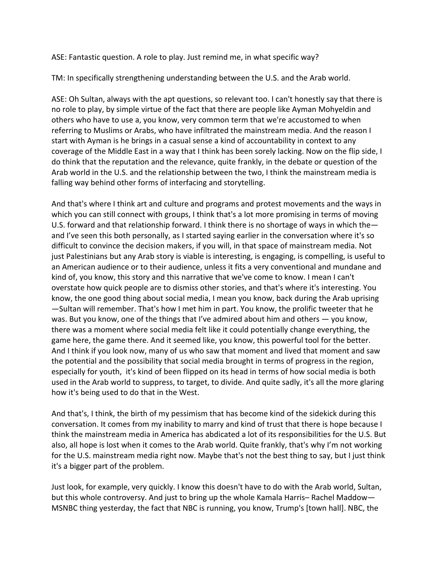ASE: Fantastic question. A role to play. Just remind me, in what specific way?

TM: In specifically strengthening understanding between the U.S. and the Arab world.

ASE: Oh Sultan, always with the apt questions, so relevant too. I can't honestly say that there is no role to play, by simple virtue of the fact that there are people like Ayman Mohyeldin and others who have to use a, you know, very common term that we're accustomed to when referring to Muslims or Arabs, who have infiltrated the mainstream media. And the reason I start with Ayman is he brings in a casual sense a kind of accountability in context to any coverage of the Middle East in a way that I think has been sorely lacking. Now on the flip side, I do think that the reputation and the relevance, quite frankly, in the debate or question of the Arab world in the U.S. and the relationship between the two, I think the mainstream media is falling way behind other forms of interfacing and storytelling.

And that's where I think art and culture and programs and protest movements and the ways in which you can still connect with groups, I think that's a lot more promising in terms of moving U.S. forward and that relationship forward. I think there is no shortage of ways in which the and I've seen this both personally, as I started saying earlier in the conversation where it's so difficult to convince the decision makers, if you will, in that space of mainstream media. Not just Palestinians but any Arab story is viable is interesting, is engaging, is compelling, is useful to an American audience or to their audience, unless it fits a very conventional and mundane and kind of, you know, this story and this narrative that we've come to know. I mean I can't overstate how quick people are to dismiss other stories, and that's where it's interesting. You know, the one good thing about social media, I mean you know, back during the Arab uprising —Sultan will remember. That's how I met him in part. You know, the prolific tweeter that he was. But you know, one of the things that I've admired about him and others — you know, there was a moment where social media felt like it could potentially change everything, the game here, the game there. And it seemed like, you know, this powerful tool for the better. And I think if you look now, many of us who saw that moment and lived that moment and saw the potential and the possibility that social media brought in terms of progress in the region, especially for youth, it's kind of been flipped on its head in terms of how social media is both used in the Arab world to suppress, to target, to divide. And quite sadly, it's all the more glaring how it's being used to do that in the West.

And that's, I think, the birth of my pessimism that has become kind of the sidekick during this conversation. It comes from my inability to marry and kind of trust that there is hope because I think the mainstream media in America has abdicated a lot of its responsibilities for the U.S. But also, all hope is lost when it comes to the Arab world. Quite frankly, that's why I'm not working for the U.S. mainstream media right now. Maybe that's not the best thing to say, but I just think it's a bigger part of the problem.

Just look, for example, very quickly. I know this doesn't have to do with the Arab world, Sultan, but this whole controversy. And just to bring up the whole Kamala Harris– Rachel Maddow— MSNBC thing yesterday, the fact that NBC is running, you know, Trump's [town hall]. NBC, the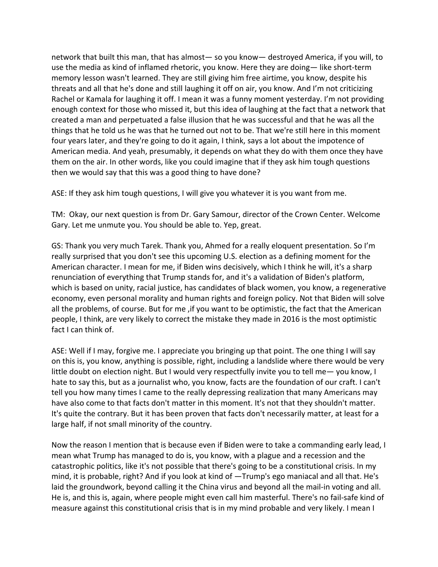network that built this man, that has almost— so you know— destroyed America, if you will, to use the media as kind of inflamed rhetoric, you know. Here they are doing— like short-term memory lesson wasn't learned. They are still giving him free airtime, you know, despite his threats and all that he's done and still laughing it off on air, you know. And I'm not criticizing Rachel or Kamala for laughing it off. I mean it was a funny moment yesterday. I'm not providing enough context for those who missed it, but this idea of laughing at the fact that a network that created a man and perpetuated a false illusion that he was successful and that he was all the things that he told us he was that he turned out not to be. That we're still here in this moment four years later, and they're going to do it again, I think, says a lot about the impotence of American media. And yeah, presumably, it depends on what they do with them once they have them on the air. In other words, like you could imagine that if they ask him tough questions then we would say that this was a good thing to have done?

ASE: If they ask him tough questions, I will give you whatever it is you want from me.

TM: Okay, our next question is from Dr. Gary Samour, director of the Crown Center. Welcome Gary. Let me unmute you. You should be able to. Yep, great.

GS: Thank you very much Tarek. Thank you, Ahmed for a really eloquent presentation. So I'm really surprised that you don't see this upcoming U.S. election as a defining moment for the American character. I mean for me, if Biden wins decisively, which I think he will, it's a sharp renunciation of everything that Trump stands for, and it's a validation of Biden's platform, which is based on unity, racial justice, has candidates of black women, you know, a regenerative economy, even personal morality and human rights and foreign policy. Not that Biden will solve all the problems, of course. But for me ,if you want to be optimistic, the fact that the American people, I think, are very likely to correct the mistake they made in 2016 is the most optimistic fact I can think of.

ASE: Well if I may, forgive me. I appreciate you bringing up that point. The one thing I will say on this is, you know, anything is possible, right, including a landslide where there would be very little doubt on election night. But I would very respectfully invite you to tell me— you know, I hate to say this, but as a journalist who, you know, facts are the foundation of our craft. I can't tell you how many times I came to the really depressing realization that many Americans may have also come to that facts don't matter in this moment. It's not that they shouldn't matter. It's quite the contrary. But it has been proven that facts don't necessarily matter, at least for a large half, if not small minority of the country.

Now the reason I mention that is because even if Biden were to take a commanding early lead, I mean what Trump has managed to do is, you know, with a plague and a recession and the catastrophic politics, like it's not possible that there's going to be a constitutional crisis. In my mind, it is probable, right? And if you look at kind of —Trump's ego maniacal and all that. He's laid the groundwork, beyond calling it the China virus and beyond all the mail-in voting and all. He is, and this is, again, where people might even call him masterful. There's no fail-safe kind of measure against this constitutional crisis that is in my mind probable and very likely. I mean I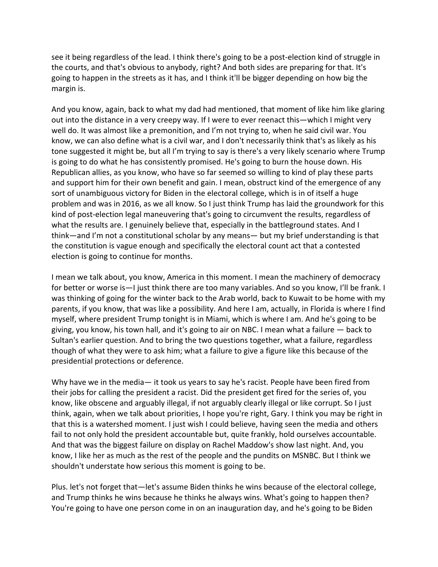see it being regardless of the lead. I think there's going to be a post-election kind of struggle in the courts, and that's obvious to anybody, right? And both sides are preparing for that. It's going to happen in the streets as it has, and I think it'll be bigger depending on how big the margin is.

And you know, again, back to what my dad had mentioned, that moment of like him like glaring out into the distance in a very creepy way. If I were to ever reenact this—which I might very well do. It was almost like a premonition, and I'm not trying to, when he said civil war. You know, we can also define what is a civil war, and I don't necessarily think that's as likely as his tone suggested it might be, but all I'm trying to say is there's a very likely scenario where Trump is going to do what he has consistently promised. He's going to burn the house down. His Republican allies, as you know, who have so far seemed so willing to kind of play these parts and support him for their own benefit and gain. I mean, obstruct kind of the emergence of any sort of unambiguous victory for Biden in the electoral college, which is in of itself a huge problem and was in 2016, as we all know. So I just think Trump has laid the groundwork for this kind of post-election legal maneuvering that's going to circumvent the results, regardless of what the results are. I genuinely believe that, especially in the battleground states. And I think—and I'm not a constitutional scholar by any means— but my brief understanding is that the constitution is vague enough and specifically the electoral count act that a contested election is going to continue for months.

I mean we talk about, you know, America in this moment. I mean the machinery of democracy for better or worse is—I just think there are too many variables. And so you know, I'll be frank. I was thinking of going for the winter back to the Arab world, back to Kuwait to be home with my parents, if you know, that was like a possibility. And here I am, actually, in Florida is where I find myself, where president Trump tonight is in Miami, which is where I am. And he's going to be giving, you know, his town hall, and it's going to air on NBC. I mean what a failure — back to Sultan's earlier question. And to bring the two questions together, what a failure, regardless though of what they were to ask him; what a failure to give a figure like this because of the presidential protections or deference.

Why have we in the media— it took us years to say he's racist. People have been fired from their jobs for calling the president a racist. Did the president get fired for the series of, you know, like obscene and arguably illegal, if not arguably clearly illegal or like corrupt. So I just think, again, when we talk about priorities, I hope you're right, Gary. I think you may be right in that this is a watershed moment. I just wish I could believe, having seen the media and others fail to not only hold the president accountable but, quite frankly, hold ourselves accountable. And that was the biggest failure on display on Rachel Maddow's show last night. And, you know, I like her as much as the rest of the people and the pundits on MSNBC. But I think we shouldn't understate how serious this moment is going to be.

Plus. let's not forget that—let's assume Biden thinks he wins because of the electoral college, and Trump thinks he wins because he thinks he always wins. What's going to happen then? You're going to have one person come in on an inauguration day, and he's going to be Biden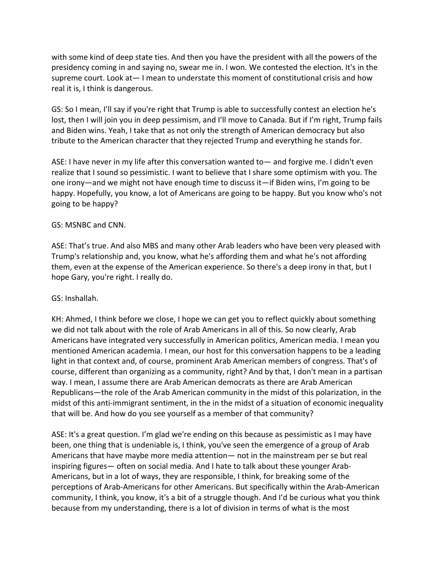with some kind of deep state ties. And then you have the president with all the powers of the presidency coming in and saying no, swear me in. I won. We contested the election. It's in the supreme court. Look at— I mean to understate this moment of constitutional crisis and how real it is, I think is dangerous.

GS: So I mean, I'll say if you're right that Trump is able to successfully contest an election he's lost, then I will join you in deep pessimism, and I'll move to Canada. But if I'm right, Trump fails and Biden wins. Yeah, I take that as not only the strength of American democracy but also tribute to the American character that they rejected Trump and everything he stands for.

ASE: I have never in my life after this conversation wanted to— and forgive me. I didn't even realize that I sound so pessimistic. I want to believe that I share some optimism with you. The one irony—and we might not have enough time to discuss it—if Biden wins, I'm going to be happy. Hopefully, you know, a lot of Americans are going to be happy. But you know who's not going to be happy?

## GS: MSNBC and CNN.

ASE: That's true. And also MBS and many other Arab leaders who have been very pleased with Trump's relationship and, you know, what he's affording them and what he's not affording them, even at the expense of the American experience. So there's a deep irony in that, but I hope Gary, you're right. I really do.

## GS: Inshallah.

KH: Ahmed, I think before we close, I hope we can get you to reflect quickly about something we did not talk about with the role of Arab Americans in all of this. So now clearly, Arab Americans have integrated very successfully in American politics, American media. I mean you mentioned American academia. I mean, our host for this conversation happens to be a leading light in that context and, of course, prominent Arab American members of congress. That's of course, different than organizing as a community, right? And by that, I don't mean in a partisan way. I mean, I assume there are Arab American democrats as there are Arab American Republicans—the role of the Arab American community in the midst of this polarization, in the midst of this anti-immigrant sentiment, in the in the midst of a situation of economic inequality that will be. And how do you see yourself as a member of that community?

ASE: It's a great question. I'm glad we're ending on this because as pessimistic as I may have been, one thing that is undeniable is, I think, you've seen the emergence of a group of Arab Americans that have maybe more media attention— not in the mainstream per se but real inspiring figures— often on social media. And I hate to talk about these younger Arab-Americans, but in a lot of ways, they are responsible, I think, for breaking some of the perceptions of Arab-Americans for other Americans. But specifically within the Arab-American community, I think, you know, it's a bit of a struggle though. And I'd be curious what you think because from my understanding, there is a lot of division in terms of what is the most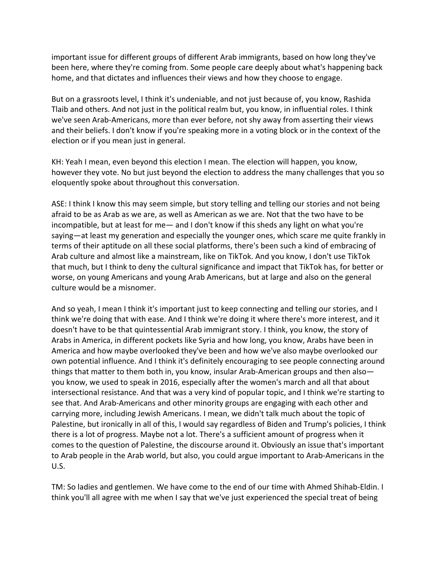important issue for different groups of different Arab immigrants, based on how long they've been here, where they're coming from. Some people care deeply about what's happening back home, and that dictates and influences their views and how they choose to engage.

But on a grassroots level, I think it's undeniable, and not just because of, you know, Rashida Tlaib and others. And not just in the political realm but, you know, in influential roles. I think we've seen Arab-Americans, more than ever before, not shy away from asserting their views and their beliefs. I don't know if you're speaking more in a voting block or in the context of the election or if you mean just in general.

KH: Yeah I mean, even beyond this election I mean. The election will happen, you know, however they vote. No but just beyond the election to address the many challenges that you so eloquently spoke about throughout this conversation.

ASE: I think I know this may seem simple, but story telling and telling our stories and not being afraid to be as Arab as we are, as well as American as we are. Not that the two have to be incompatible, but at least for me— and I don't know if this sheds any light on what you're saying—at least my generation and especially the younger ones, which scare me quite frankly in terms of their aptitude on all these social platforms, there's been such a kind of embracing of Arab culture and almost like a mainstream, like on TikTok. And you know, I don't use TikTok that much, but I think to deny the cultural significance and impact that TikTok has, for better or worse, on young Americans and young Arab Americans, but at large and also on the general culture would be a misnomer.

And so yeah, I mean I think it's important just to keep connecting and telling our stories, and I think we're doing that with ease. And I think we're doing it where there's more interest, and it doesn't have to be that quintessential Arab immigrant story. I think, you know, the story of Arabs in America, in different pockets like Syria and how long, you know, Arabs have been in America and how maybe overlooked they've been and how we've also maybe overlooked our own potential influence. And I think it's definitely encouraging to see people connecting around things that matter to them both in, you know, insular Arab-American groups and then also you know, we used to speak in 2016, especially after the women's march and all that about intersectional resistance. And that was a very kind of popular topic, and I think we're starting to see that. And Arab-Americans and other minority groups are engaging with each other and carrying more, including Jewish Americans. I mean, we didn't talk much about the topic of Palestine, but ironically in all of this, I would say regardless of Biden and Trump's policies, I think there is a lot of progress. Maybe not a lot. There's a sufficient amount of progress when it comes to the question of Palestine, the discourse around it. Obviously an issue that's important to Arab people in the Arab world, but also, you could argue important to Arab-Americans in the U.S.

TM: So ladies and gentlemen. We have come to the end of our time with Ahmed Shihab-Eldin. I think you'll all agree with me when I say that we've just experienced the special treat of being